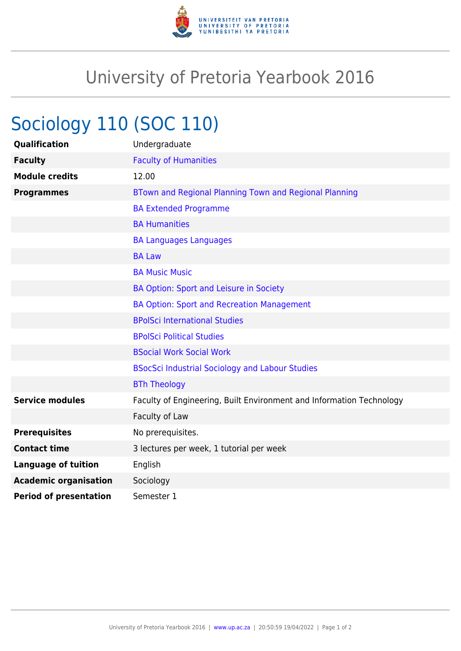

## University of Pretoria Yearbook 2016

## Sociology 110 (SOC 110)

| <b>Qualification</b>          | Undergraduate                                                        |
|-------------------------------|----------------------------------------------------------------------|
| <b>Faculty</b>                | <b>Faculty of Humanities</b>                                         |
| <b>Module credits</b>         | 12.00                                                                |
| <b>Programmes</b>             | BTown and Regional Planning Town and Regional Planning               |
|                               | <b>BA Extended Programme</b>                                         |
|                               | <b>BA Humanities</b>                                                 |
|                               | <b>BA Languages Languages</b>                                        |
|                               | <b>BA Law</b>                                                        |
|                               | <b>BA Music Music</b>                                                |
|                               | BA Option: Sport and Leisure in Society                              |
|                               | <b>BA Option: Sport and Recreation Management</b>                    |
|                               | <b>BPolSci International Studies</b>                                 |
|                               | <b>BPolSci Political Studies</b>                                     |
|                               | <b>BSocial Work Social Work</b>                                      |
|                               | <b>BSocSci Industrial Sociology and Labour Studies</b>               |
|                               | <b>BTh Theology</b>                                                  |
| <b>Service modules</b>        | Faculty of Engineering, Built Environment and Information Technology |
|                               | Faculty of Law                                                       |
| <b>Prerequisites</b>          | No prerequisites.                                                    |
| <b>Contact time</b>           | 3 lectures per week, 1 tutorial per week                             |
| <b>Language of tuition</b>    | English                                                              |
| <b>Academic organisation</b>  | Sociology                                                            |
| <b>Period of presentation</b> | Semester 1                                                           |